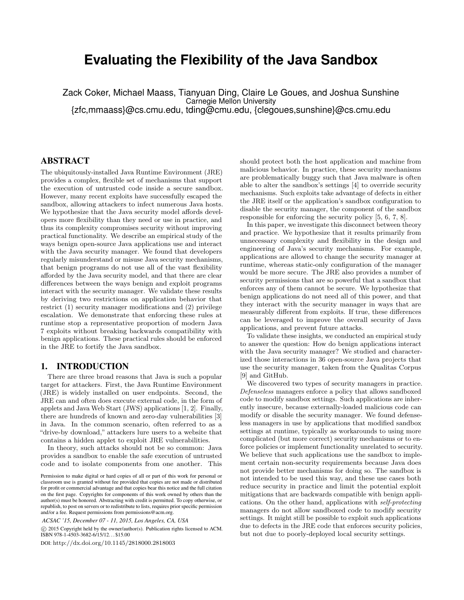# **Evaluating the Flexibility of the Java Sandbox**

Zack Coker, Michael Maass, Tianyuan Ding, Claire Le Goues, and Joshua Sunshine Carnegie Mellon University {zfc,mmaass}@cs.cmu.edu, tding@cmu.edu, {clegoues,sunshine}@cs.cmu.edu

# ABSTRACT

The ubiquitously-installed Java Runtime Environment (JRE) provides a complex, flexible set of mechanisms that support the execution of untrusted code inside a secure sandbox. However, many recent exploits have successfully escaped the sandbox, allowing attackers to infect numerous Java hosts. We hypothesize that the Java security model affords developers more flexibility than they need or use in practice, and thus its complexity compromises security without improving practical functionality. We describe an empirical study of the ways benign open-source Java applications use and interact with the Java security manager. We found that developers regularly misunderstand or misuse Java security mechanisms, that benign programs do not use all of the vast flexibility afforded by the Java security model, and that there are clear differences between the ways benign and exploit programs interact with the security manager. We validate these results by deriving two restrictions on application behavior that restrict (1) security manager modifications and (2) privilege escalation. We demonstrate that enforcing these rules at runtime stop a representative proportion of modern Java 7 exploits without breaking backwards compatibility with benign applications. These practical rules should be enforced in the JRE to fortify the Java sandbox.

# 1. INTRODUCTION

There are three broad reasons that Java is such a popular target for attackers. First, the Java Runtime Environment (JRE) is widely installed on user endpoints. Second, the JRE can and often does execute external code, in the form of applets and Java Web Start (JWS) applications [1, 2]. Finally, there are hundreds of known and zero-day vulnerabilities [3] in Java. In the common scenario, often referred to as a "drive-by download," attackers lure users to a website that contains a hidden applet to exploit JRE vulnerabilities.

In theory, such attacks should not be so common: Java provides a sandbox to enable the safe execution of untrusted code and to isolate components from one another. This

 c 2015 Copyright held by the owner/author(s). Publication rights licensed to ACM. ISBN 978-1-4503-3682-6/15/12. . . \$15.00

DOI: http://dx.doi.org/10.1145/2818000.2818003

should protect both the host application and machine from malicious behavior. In practice, these security mechanisms are problematically buggy such that Java malware is often able to alter the sandbox's settings [4] to override security mechanisms. Such exploits take advantage of defects in either the JRE itself or the application's sandbox configuration to disable the security manager, the component of the sandbox responsible for enforcing the security policy [5, 6, 7, 8].

In this paper, we investigate this disconnect between theory and practice. We hypothesize that it results primarily from unnecessary complexity and flexibility in the design and engineering of Java's security mechanisms. For example, applications are allowed to change the security manager at runtime, whereas static-only configuration of the manager would be more secure. The JRE also provides a number of security permissions that are so powerful that a sandbox that enforces any of them cannot be secure. We hypothesize that benign applications do not need all of this power, and that they interact with the security manager in ways that are measurably different from exploits. If true, these differences can be leveraged to improve the overall security of Java applications, and prevent future attacks.

To validate these insights, we conducted an empirical study to answer the question: How do benign applications interact with the Java security manager? We studied and characterized those interactions in 36 open-source Java projects that use the security manager, taken from the Qualitas Corpus [9] and GitHub.

We discovered two types of security managers in practice. Defenseless managers enforce a policy that allows sandboxed code to modify sandbox settings. Such applications are inherently insecure, because externally-loaded malicious code can modify or disable the security manager. We found defenseless managers in use by applications that modified sandbox settings at runtime, typically as workarounds to using more complicated (but more correct) security mechanisms or to enforce policies or implement functionality unrelated to security. We believe that such applications use the sandbox to implement certain non-security requirements because Java does not provide better mechanisms for doing so. The sandbox is not intended to be used this way, and these use cases both reduce security in practice and limit the potential exploit mitigations that are backwards compatible with benign applications. On the other hand, applications with self-protecting managers do not allow sandboxed code to modify security settings. It might still be possible to exploit such applications due to defects in the JRE code that enforces security policies, but not due to poorly-deployed local security settings.

Permission to make digital or hard copies of all or part of this work for personal or classroom use is granted without fee provided that copies are not made or distributed for profit or commercial advantage and that copies bear this notice and the full citation on the first page. Copyrights for components of this work owned by others than the author(s) must be honored. Abstracting with credit is permitted. To copy otherwise, or republish, to post on servers or to redistribute to lists, requires prior specific permission and/or a fee. Request permissions from permissions@acm.org.

*ACSAC '15, December 07 - 11, 2015, Los Angeles, CA, USA*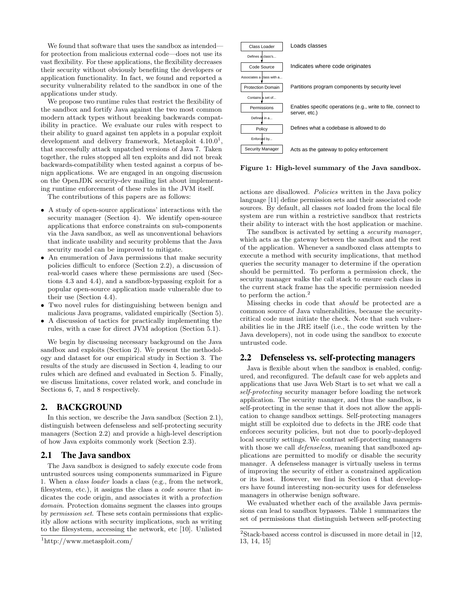We found that software that uses the sandbox as intended for protection from malicious external code—does not use its vast flexibility. For these applications, the flexibility decreases their security without obviously benefiting the developers or application functionality. In fact, we found and reported a security vulnerability related to the sandbox in one of the applications under study.

We propose two runtime rules that restrict the flexibility of the sandbox and fortify Java against the two most common modern attack types without breaking backwards compatibility in practice. We evaluate our rules with respect to their ability to guard against ten applets in a popular exploit development and delivery framework, Metasploit  $4.10.0<sup>1</sup>$ , that successfully attack unpatched versions of Java 7. Taken together, the rules stopped all ten exploits and did not break backwards-compatibility when tested against a corpus of benign applications. We are engaged in an ongoing discussion on the OpenJDK security-dev mailing list about implementing runtime enforcement of these rules in the JVM itself.

The contributions of this papers are as follows:

- A study of open-source applications' interactions with the security manager (Section 4). We identify open-source applications that enforce constraints on sub-components via the Java sandbox, as well as unconventional behaviors that indicate usability and security problems that the Java security model can be improved to mitigate.
- An enumeration of Java permissions that make security policies difficult to enforce (Section 2.2), a discussion of real-world cases where these permissions are used (Sections 4.3 and 4.4), and a sandbox-bypassing exploit for a popular open-source application made vulnerable due to their use (Section 4.4).
- Two novel rules for distinguishing between benign and malicious Java programs, validated empirically (Section 5).
- A discussion of tactics for practically implementing the rules, with a case for direct JVM adoption (Section 5.1).

We begin by discussing necessary background on the Java sandbox and exploits (Section 2). We present the methodology and dataset for our empirical study in Section 3. The results of the study are discussed in Section 4, leading to our rules which are defined and evaluated in Section 5. Finally, we discuss limitations, cover related work, and conclude in Sections 6, 7, and 8 respectively.

# 2. BACKGROUND

In this section, we describe the Java sandbox (Section 2.1), distinguish between defenseless and self-protecting security managers (Section 2.2) and provide a high-level description of how Java exploits commonly work (Section 2.3).

#### 2.1 The Java sandbox

The Java sandbox is designed to safely execute code from untrusted sources using components summarized in Figure 1. When a class loader loads a class (e.g., from the network, filesystem, etc.), it assigns the class a code source that indicates the code origin, and associates it with a protection domain. Protection domains segment the classes into groups by permission set. These sets contain permissions that explicitly allow actions with security implications, such as writing to the filesystem, accessing the network, etc [10]. Unlisted



Figure 1: High-level summary of the Java sandbox.

actions are disallowed. Policies written in the Java policy language [11] define permission sets and their associated code sources. By default, all classes not loaded from the local file system are run within a restrictive sandbox that restricts their ability to interact with the host application or machine.

The sandbox is activated by setting a *security manager*, which acts as the gateway between the sandbox and the rest of the application. Whenever a sandboxed class attempts to execute a method with security implications, that method queries the security manager to determine if the operation should be permitted. To perform a permission check, the security manager walks the call stack to ensure each class in the current stack frame has the specific permission needed to perform the action.<sup>2</sup>

Missing checks in code that should be protected are a common source of Java vulnerabilities, because the securitycritical code must initiate the check. Note that such vulnerabilities lie in the JRE itself (i.e., the code written by the Java developers), not in code using the sandbox to execute untrusted code.

# 2.2 Defenseless vs. self-protecting managers

Java is flexible about when the sandbox is enabled, configured, and reconfigured. The default case for web applets and applications that use Java Web Start is to set what we call a self-protecting security manager before loading the network application. The security manager, and thus the sandbox, is self-protecting in the sense that it does not allow the application to change sandbox settings. Self-protecting managers might still be exploited due to defects in the JRE code that enforces security policies, but not due to poorly-deployed local security settings. We contrast self-protecting managers with those we call *defenseless*, meaning that sandboxed applications are permitted to modify or disable the security manager. A defenseless manager is virtually useless in terms of improving the security of either a constrained application or its host. However, we find in Section 4 that developers have found interesting non-security uses for defenseless managers in otherwise benign software.

We evaluated whether each of the available Java permissions can lead to sandbox bypasses. Table 1 summarizes the set of permissions that distinguish between self-protecting

<sup>1</sup>http://www.metasploit.com/

 $2$ Stack-based access control is discussed in more detail in [12, 13, 14, 15]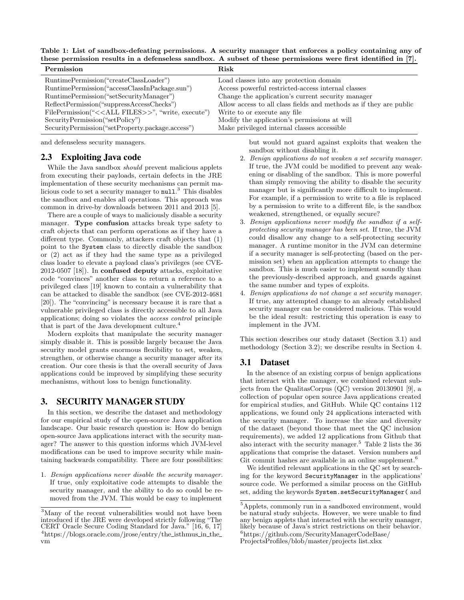Table 1: List of sandbox-defeating permissions. A security manager that enforces a policy containing any of these permission results in a defenseless sandbox. A subset of these permissions were first identified in [7].

| Permission                                                     | Risk                                                               |
|----------------------------------------------------------------|--------------------------------------------------------------------|
| RuntimePermission("createClassLoader")                         | Load classes into any protection domain                            |
| RuntimePermission("accessClassInPackage.sun")                  | Access powerful restricted-access internal classes                 |
| RuntimePermission("setSecurityManager")                        | Change the application's current security manager                  |
| ReflectPermission("suppressAccessChecks")                      | Allow access to all class fields and methods as if they are public |
| FilePermission("< <all files="">&gt;", "write, execute")</all> | Write to or execute any file.                                      |
| SecurityPermission("setPolicy")                                | Modify the application's permissions at will                       |
| SecurityPermission("setProperty.package.access")               | Make privileged internal classes accessible                        |

and defenseless security managers.

# 2.3 Exploiting Java code

While the Java sandbox *should* prevent malicious applets from executing their payloads, certain defects in the JRE implementation of these security mechanisms can permit malicious code to set a security manager to null.<sup>3</sup> This disables the sandbox and enables all operations. This approach was common in drive-by downloads between 2011 and 2013 [5].

There are a couple of ways to maliciously disable a security manager. Type confusion attacks break type safety to craft objects that can perform operations as if they have a different type. Commonly, attackers craft objects that (1) point to the System class to directly disable the sandbox or (2) act as if they had the same type as a privileged class loader to elevate a payload class's privileges (see CVE-2012-0507 [18]). In confused deputy attacks, exploitative code "convinces" another class to return a reference to a privileged class [19] known to contain a vulnerability that can be attacked to disable the sandbox (see CVE-2012-4681 [20]). The "convincing" is necessary because it is rare that a vulnerable privileged class is directly accessible to all Java applications; doing so violates the access control principle that is part of the Java development culture.<sup>4</sup>

Modern exploits that manipulate the security manager simply disable it. This is possible largely because the Java security model grants enormous flexibility to set, weaken, strengthen, or otherwise change a security manager after its creation. Our core thesis is that the overall security of Java applications could be improved by simplifying these security mechanisms, without loss to benign functionality.

## 3. SECURITY MANAGER STUDY

In this section, we describe the dataset and methodology for our empirical study of the open-source Java application landscape. Our basic research question is: How do benign open-source Java applications interact with the security manager? The answer to this question informs which JVM-level modifications can be used to improve security while maintaining backwards compatibility. There are four possibilities:

1. Benign applications never disable the security manager. If true, only exploitative code attempts to disable the security manager, and the ability to do so could be removed from the JVM. This would be easy to implement

but would not guard against exploits that weaken the sandbox without disabling it.

- 2. Benign applications do not weaken a set security manager. If true, the JVM could be modified to prevent any weakening or disabling of the sandbox. This is more powerful than simply removing the ability to disable the security manager but is significantly more difficult to implement. For example, if a permission to write to a file is replaced by a permission to write to a different file, is the sandbox weakened, strengthened, or equally secure?
- 3. Benign applications never modify the sandbox if a selfprotecting security manager has been set. If true, the JVM could disallow any change to a self-protecting security manager. A runtime monitor in the JVM can determine if a security manager is self-protecting (based on the permission set) when an application attempts to change the sandbox. This is much easier to implement soundly than the previously-described approach, and guards against the same number and types of exploits.
- 4. Benign applications do not change a set security manager. If true, any attempted change to an already established security manager can be considered malicious. This would be the ideal result: restricting this operation is easy to implement in the JVM.

This section describes our study dataset (Section 3.1) and methodology (Section 3.2); we describe results in Section 4.

## 3.1 Dataset

In the absence of an existing corpus of benign applications that interact with the manager, we combined relevant subjects from the QualitasCorpus (QC) version 20130901 [9], a collection of popular open source Java applications created for empirical studies, and GitHub. While QC contains 112 applications, we found only 24 applications interacted with the security manager. To increase the size and diversity of the dataset (beyond those that meet the QC inclusion requirements), we added 12 applications from Github that also interact with the security manager.<sup>5</sup> Table 2 lists the 36 applications that comprise the dataset. Version numbers and Git commit hashes are available in an online supplement.<sup>6</sup>

We identified relevant applications in the OC set by searching for the keyword SecurityManager in the applications' source code. We performed a similar process on the GitHub set, adding the keywords System.setSecurityManager( and

<sup>3</sup>Many of the recent vulnerabilities would not have been introduced if the JRE were developed strictly following "The CERT Oracle Secure Coding Standard for Java." [16, 6, 17] <sup>4</sup>https://blogs.oracle.com/jrose/entry/the isthmus in the vm

<sup>5</sup>Applets, commonly run in a sandboxed environment, would be natural study subjects. However, we were unable to find any benign applets that interacted with the security manager, likely because of Java's strict restrictions on their behavior. <sup>6</sup>https://github.com/SecurityManagerCodeBase/

ProjectsProfiles/blob/master/projects list.xlsx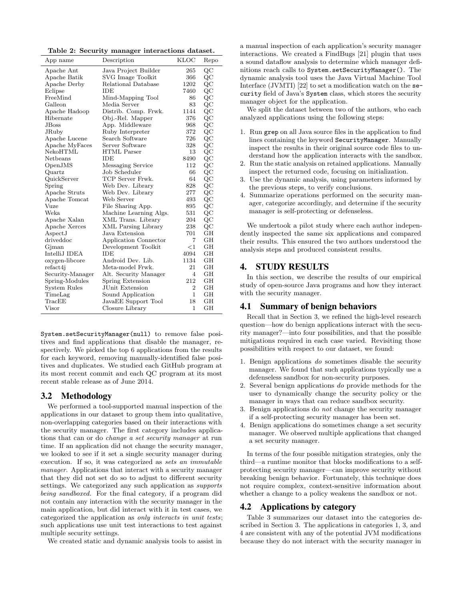Table 2: Security manager interactions dataset.

| App name                  | Description            | <b>KLOC</b>    | Repo      |
|---------------------------|------------------------|----------------|-----------|
| Apache Ant                | Java Project Builder   | 265            | QC        |
| Apache Batik              | SVG Image Toolkit      | 366            | QC        |
| Apache Derby              | Relational Database    | 1202           | QC        |
| Eclipse                   | IDE                    | 7460           | QC        |
| FreeMind                  | Mind-Mapping Tool      | 86             | QC        |
| Galleon                   | Media Server           | 83             | QC        |
| Apache Hadoop             | Distrib. Comp. Frwk.   | 1144           | QC        |
| Hibernate                 | Obj.-Rel. Mapper       | 376            | QC        |
| <b>J</b> B <sub>oss</sub> | App. Middleware        | 968            | QC        |
| JRuby                     | Ruby Interpreter       | 372            | QC        |
| Apache Lucene             | Search Software        | 726            | QC        |
| Apache MyFaces            | Server Software        | 328            | QC        |
| <b>NekoHTML</b>           | <b>HTML Parser</b>     | 13             | QC        |
| Netbeans                  | IDE                    | 8490           | QC        |
| OpenJMS                   | Messaging Service      | 112            | QC        |
| Quartz                    | Job Scheduler          | 66             | QC        |
| QuickServer               | TCP Server Frwk.       | 64             | QC        |
| Spring                    | Web Dev. Library       | 828            | QC        |
| Apache Struts             | Web Dev. Library       | 277            | QC        |
| Apache Tomcat             | Web Server             | 493            | QC        |
| Vuze                      | File Sharing App.      | 895            | QC        |
| Weka                      | Machine Learning Algs. | 531            | QC        |
| Apache Xalan              | XML Trans. Library     | 204            | QC        |
| Apache Xerces             | XML Parsing Library    | 238            | QC        |
| AspectJ                   | Java Extension         | 701            | <b>GH</b> |
| driveddoc                 | Application Connector  | 7              | <b>GH</b> |
| Gjman                     | Development Toolkit    | $\leq$ 1       | <b>GH</b> |
| IntelliJ IDEA             | <b>IDE</b>             | 4094           | GH        |
| oxygen-libcore            | Android Dev. Lib.      | 1134           | <b>GH</b> |
| refact4j                  | Meta-model Frwk.       | 21             | GH        |
| Security-Manager          | Alt. Security Manager  | $\overline{4}$ | <b>GH</b> |
| Spring-Modules            | Spring Extension       | 212            | <b>GH</b> |
| <b>System Rules</b>       | <b>JUnit Extension</b> | $\overline{2}$ | <b>GH</b> |
| TimeLag                   | Sound Application      | 1              | <b>GH</b> |
| TracEE                    | JavaEE Support Tool    | 18             | <b>GH</b> |
| Visor                     | Closure Library        | $\mathbf{1}$   | <b>GH</b> |

System.setSecurityManager(null) to remove false positives and find applications that disable the manager, respectively. We picked the top 6 applications from the results for each keyword, removing manually-identified false positives and duplicates. We studied each GitHub program at its most recent commit and each QC program at its most recent stable release as of June 2014.

## 3.2 Methodology

We performed a tool-supported manual inspection of the applications in our dataset to group them into qualitative, non-overlapping categories based on their interactions with the security manager. The first category includes applications that can or do change a set security manager at run time. If an application did not change the security manager, we looked to see if it set a single security manager during execution. If so, it was categorized as sets an immutable manager. Applications that interact with a security manager that they did not set do so to adjust to different security settings. We categorized any such application as supports being sandboxed. For the final category, if a program did not contain any interaction with the security manager in the main application, but did interact with it in test cases, we categorized the application as only interacts in unit tests; such applications use unit test interactions to test against multiple security settings.

We created static and dynamic analysis tools to assist in

a manual inspection of each application's security manager interactions. We created a FindBugs [21] plugin that uses a sound dataflow analysis to determine which manager definitions reach calls to System.setSecurityManager(). The dynamic analysis tool uses the Java Virtual Machine Tool Interface (JVMTI) [22] to set a modification watch on the security field of Java's System class, which stores the security manager object for the application.

We split the dataset between two of the authors, who each analyzed applications using the following steps:

- 1. Run grep on all Java source files in the application to find lines containing the keyword SecurityManager. Manually inspect the results in their original source code files to understand how the application interacts with the sandbox.
- 2. Run the static analysis on retained applications. Manually inspect the returned code, focusing on initialization.
- 3. Use the dynamic analysis, using parameters informed by the previous steps, to verify conclusions.
- 4. Summarize operations performed on the security manager, categorize accordingly, and determine if the security manager is self-protecting or defenseless.

We undertook a pilot study where each author independently inspected the same six applications and compared their results. This ensured the two authors understood the analysis steps and produced consistent results.

# 4. STUDY RESULTS

In this section, we describe the results of our empirical study of open-source Java programs and how they interact with the security manager.

## 4.1 Summary of benign behaviors

Recall that in Section 3, we refined the high-level research question—how do benign applications interact with the security manager?—into four possibilities, and that the possible mitigations required in each case varied. Revisiting those possibilities with respect to our dataset, we found:

- 1. Benign applications do sometimes disable the security manager. We found that such applications typically use a defenseless sandbox for non-security purposes.
- 2. Several benign applications do provide methods for the user to dynamically change the security policy or the manager in ways that can reduce sandbox security.
- 3. Benign applications do not change the security manager if a self-protecting security manager has been set.
- 4. Benign applications do sometimes change a set security manager. We observed multiple applications that changed a set security manager.

In terms of the four possible mitigation strategies, only the third—a runtime monitor that blocks modifications to a selfprotecting security manager—can improve security without breaking benign behavior. Fortunately, this technique does not require complex, context-sensitive information about whether a change to a policy weakens the sandbox or not.

## 4.2 Applications by category

Table 3 summarizes our dataset into the categories described in Section 3. The applications in categories 1, 3, and 4 are consistent with any of the potential JVM modifications because they do not interact with the security manager in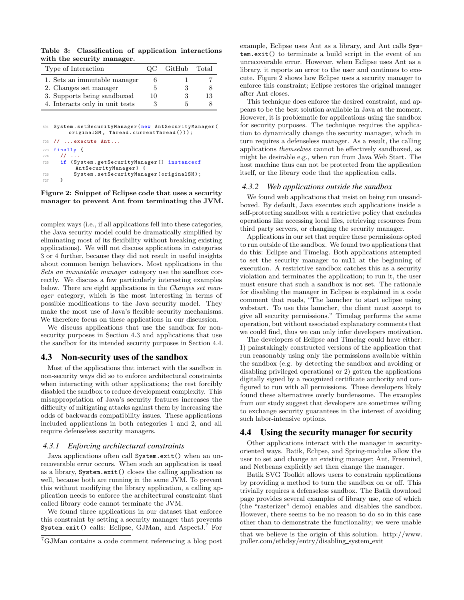Table 3: Classification of application interactions with the security manager.

| Type of Interaction             | Q() | GitHub Total |    |
|---------------------------------|-----|--------------|----|
| 1. Sets an immutable manager    |     |              |    |
| 2. Changes set manager          |     | 3            | 8  |
| 3. Supports being sandboxed     | 10  | з            | 13 |
| 4. Interacts only in unit tests |     | h            |    |

691 System . setSecurityManager (new AntSecurityManager ( originalSM , Thread . currentThread () ));

```
703 // ... execute Ant ...
723 finally {<br>724 // ...
      \frac{1}{2}725 if ( System . getSecurityManager () instanceof
            AntSecurityManager ) {
726 System.setSecurityManager (originalSM);<br>727 }
727 }
```
Figure 2: Snippet of Eclipse code that uses a security manager to prevent Ant from terminating the JVM.

complex ways (i.e., if all applications fell into these categories, the Java security model could be dramatically simplified by eliminating most of its flexibility without breaking existing applications). We will not discuss applications in categories 3 or 4 further, because they did not result in useful insights about common benign behaviors. Most applications in the Sets an immutable manager category use the sandbox correctly. We discuss a few particularly interesting examples below. There are eight applications in the Changes set manager category, which is the most interesting in terms of possible modifications to the Java security model. They make the most use of Java's flexible security mechanisms. We therefore focus on these applications in our discussion.

We discuss applications that use the sandbox for nonsecurity purposes in Section 4.3 and applications that use the sandbox for its intended security purposes in Section 4.4.

## 4.3 Non-security uses of the sandbox

Most of the applications that interact with the sandbox in non-security ways did so to enforce architectural constraints when interacting with other applications; the rest forcibly disabled the sandbox to reduce development complexity. This misappropriation of Java's security features increases the difficulty of mitigating attacks against them by increasing the odds of backwards compatibility issues. These applications included applications in both categories 1 and 2, and all require defenseless security managers.

#### *4.3.1 Enforcing architectural constraints*

Java applications often call System.exit() when an unrecoverable error occurs. When such an application is used as a library, System.exit() closes the calling application as well, because both are running in the same JVM. To prevent this without modifying the library application, a calling application needs to enforce the architectural constraint that called library code cannot terminate the JVM.

We found three applications in our dataset that enforce this constraint by setting a security manager that prevents System.exit() calls: Eclipse, GJMan, and AspectJ.<sup>7</sup> For example, Eclipse uses Ant as a library, and Ant calls System.exit() to terminate a build script in the event of an unrecoverable error. However, when Eclipse uses Ant as a library, it reports an error to the user and continues to execute. Figure 2 shows how Eclipse uses a security manager to enforce this constraint; Eclipse restores the original manager after Ant closes.

This technique does enforce the desired constraint, and appears to be the best solution available in Java at the moment. However, it is problematic for applications using the sandbox for security purposes. The technique requires the application to dynamically change the security manager, which in turn requires a defenseless manager. As a result, the calling applications themselves cannot be effectively sandboxed, as might be desirable e.g., when run from Java Web Start. The host machine thus can not be protected from the application itself, or the library code that the application calls.

#### *4.3.2 Web applications outside the sandbox*

We found web applications that insist on being run unsandboxed. By default, Java executes such applications inside a self-protecting sandbox with a restrictive policy that excludes operations like accessing local files, retrieving resources from third party servers, or changing the security manager.

Applications in our set that require these permissions opted to run outside of the sandbox. We found two applications that do this: Eclipse and Timelag. Both applications attempted to set the security manager to null at the beginning of execution. A restrictive sandbox catches this as a security violation and terminates the application; to run it, the user must ensure that such a sandbox is not set. The rationale for disabling the manager in Eclipse is explained in a code comment that reads, "The launcher to start eclipse using webstart. To use this launcher, the client must accept to give all security permissions." Timelag performs the same operation, but without associated explanatory comments that we could find, thus we can only infer developers motivation.

The developers of Eclipse and Timelag could have either: 1) painstakingly constructed versions of the application that run reasonably using only the permissions available within the sandbox (e.g. by detecting the sandbox and avoiding or disabling privileged operations) or 2) gotten the applications digitally signed by a recognized certificate authority and configured to run with all permissions. These developers likely found these alternatives overly burdensome. The examples from our study suggest that developers are sometimes willing to exchange security guarantees in the interest of avoiding such labor-intensive options.

#### 4.4 Using the security manager for security

Other applications interact with the manager in securityoriented ways. Batik, Eclipse, and Spring-modules allow the user to set and change an existing manager; Ant, Freemind, and Netbeans explicitly set then change the manager.

Batik SVG Toolkit allows users to constrain applications by providing a method to turn the sandbox on or off. This trivially requires a defenseless sandbox. The Batik download page provides several examples of library use, one of which (the "rasterizer" demo) enables and disables the sandbox. However, there seems to be no reason to do so in this case other than to demonstrate the functionality; we were unable

<sup>7</sup>GJMan contains a code comment referencing a blog post

that we believe is the origin of this solution. http://www. jroller.com/ethdsy/entry/disabling system exit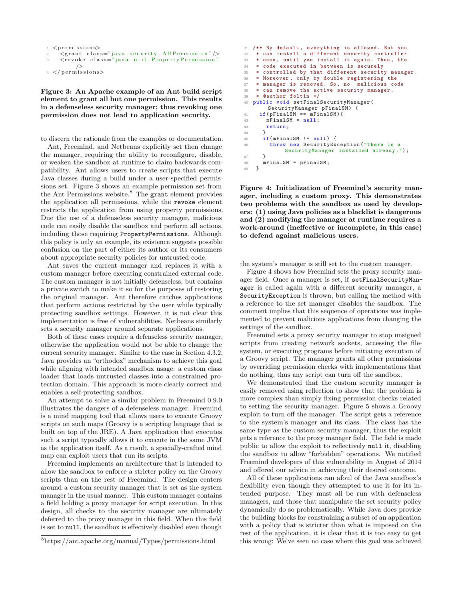```
<permissions>\langlegrant class="java.security.AllPermission"/>
    \overline{<}revoke class="java.util.PropertyPermission
        />
4 \langle permissions>
```
Figure 3: An Apache example of an Ant build script element to grant all but one permission. This results in a defenseless security manager; thus revoking one permission does not lead to application security.

to discern the rationale from the examples or documentation.

Ant, Freemind, and Netbeans explicitly set then change the manager, requiring the ability to reconfigure, disable, or weaken the sandbox at runtime to claim backwards compatibility. Ant allows users to create scripts that execute Java classes during a build under a user-specified permissions set. Figure 3 shows an example permission set from the Ant Permissions website.<sup>8</sup> The grant element provides the application all permissions, while the revoke element restricts the application from using property permissions. Due the use of a defenseless security manager, malicious code can easily disable the sandbox and perform all actions, including those requiring PropertyPermissions. Although this policy is only an example, its existence suggests possible confusion on the part of either its author or its consumers about appropriate security policies for untrusted code.

Ant saves the current manager and replaces it with a custom manager before executing constrained external code. The custom manager is not initially defenseless, but contains a private switch to make it so for the purposes of restoring the original manager. Ant therefore catches applications that perform actions restricted by the user while typically protecting sandbox settings. However, it is not clear this implementation is free of vulnerabilities. Netbeans similarly sets a security manager around separate applications.

Both of these cases require a defenseless security manager, otherwise the application would not be able to change the current security manager. Similar to the case in Section 4.3.2, Java provides an "orthodox" mechanism to achieve this goal while aligning with intended sandbox usage: a custom class loader that loads untrusted classes into a constrained protection domain. This approach is more clearly correct and enables a self-protecting sandbox.

An attempt to solve a similar problem in Freemind 0.9.0 illustrates the dangers of a defenseless manager. Freemind is a mind mapping tool that allows users to execute Groovy scripts on such maps (Groovy is a scripting language that is built on top of the JRE). A Java application that executes such a script typically allows it to execute in the same JVM as the application itself. As a result, a specially-crafted mind map can exploit users that run its scripts.

Freemind implements an architecture that is intended to allow the sandbox to enforce a stricter policy on the Groovy scripts than on the rest of Freemind. The design centers around a custom security manager that is set as the system manager in the usual manner. This custom manager contains a field holding a proxy manager for script execution. In this design, all checks to the security manager are ultimately deferred to the proxy manager in this field. When this field is set to null, the sandbox is effectively disabled even though

```
31 /** By default, everything is allowed. But you
32 * can install a different security controller<br>33 * once, until you install it again. Thus, the
    * once, until you install it again. Thus, the
34 * code executed in between is securely
35 * controlled by that different security manager.<br>36 * Moreover, only by double registering the
      Moreover, only by double registering the
37 * manager is removed. So, no malicious code
38 * can remove the active security manager.<br>39 * @author foltin * /Cauthor foltin */
40 public void setFinalSecurityManager (
        SecurityManager pFinalSM) {
41 if (pFinalSM == mFinalSM) {
42 mFinalSM = null;43 return ;
44 }
45 if (mFinalSM != null) {
46 throw new SecurityException (" There is a
              SecurityManager installed already .");
47 }
48 mFinalSM = pFinalSM ;
49 }
```
Figure 4: Initialization of Freemind's security manager, including a custom proxy. This demonstrates two problems with the sandbox as used by developers: (1) using Java policies as a blacklist is dangerous and (2) modifying the manager at runtime requires a work-around (ineffective or incomplete, in this case) to defend against malicious users.

the system's manager is still set to the custom manager.

Figure 4 shows how Freemind sets the proxy security manager field. Once a manager is set, if setFinalSecurityManager is called again with a different security manager, a SecurityException is thrown, but calling the method with a reference to the set manager disables the sandbox. The comment implies that this sequence of operations was implemented to prevent malicious applications from changing the settings of the sandbox.

Freemind sets a proxy security manager to stop unsigned scripts from creating network sockets, accessing the filesystem, or executing programs before initiating execution of a Groovy script. The manager grants all other permissions by overriding permission checks with implementations that do nothing, thus any script can turn off the sandbox.

We demonstrated that the custom security manager is easily removed using reflection to show that the problem is more complex than simply fixing permission checks related to setting the security manager. Figure 5 shows a Groovy exploit to turn off the manager. The script gets a reference to the system's manager and its class. The class has the same type as the custom security manager, thus the exploit gets a reference to the proxy manager field. The field is made public to allow the exploit to reflectively null it, disabling the sandbox to allow "forbidden" operations. We notified Freemind developers of this vulnerability in August of 2014 and offered our advice in achieving their desired outcome.

All of these applications ran afoul of the Java sandbox's flexibility even though they attempted to use it for its intended purpose. They must all be run with defenseless managers, and those that manipulate the set security policy dynamically do so problematically. While Java does provide the building blocks for constraining a subset of an application with a policy that is stricter than what is imposed on the rest of the application, it is clear that it is too easy to get this wrong: We've seen no case where this goal was achieved

<sup>8</sup>https://ant.apache.org/manual/Types/permissions.html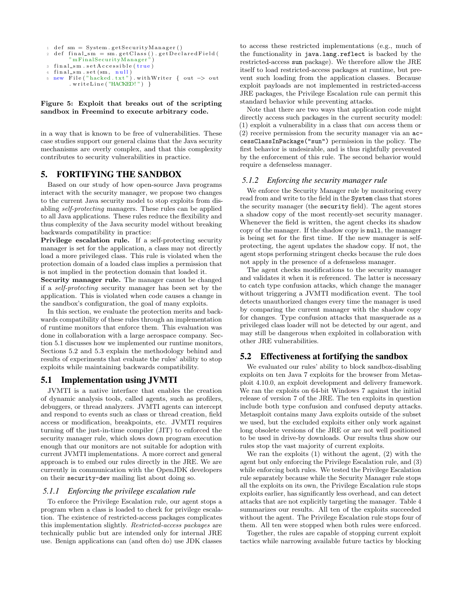```
1 def sm = System.getSecurityManager()
2 \text{ def final } \simeq \text{sm. get} \text{Class}() \text{ . get} \text{DeclaredField}()mFinal SecurityManager3 final_sm.set Accessible (true)
4 final_sm.set(sm, null)<br>5 new File("hacked.txt").withWriter { out -> out
         . writeLine ("HACKED!") }
```
Figure 5: Exploit that breaks out of the scripting sandbox in Freemind to execute arbitrary code.

in a way that is known to be free of vulnerabilities. These case studies support our general claims that the Java security mechanisms are overly complex, and that this complexity contributes to security vulnerabilities in practice.

# 5. FORTIFYING THE SANDBOX

Based on our study of how open-source Java programs interact with the security manager, we propose two changes to the current Java security model to stop exploits from disabling self-protecting managers. These rules can be applied to all Java applications. These rules reduce the flexibility and thus complexity of the Java security model without breaking backwards compatibility in practice:

Privilege escalation rule. If a self-protecting security manager is set for the application, a class may not directly load a more privileged class. This rule is violated when the protection domain of a loaded class implies a permission that is not implied in the protection domain that loaded it.

Security manager rule. The manager cannot be changed if a self-protecting security manager has been set by the application. This is violated when code causes a change in the sandbox's configuration, the goal of many exploits.

In this section, we evaluate the protection merits and backwards compatibility of these rules through an implementation of runtime monitors that enforce them. This evaluation was done in collaboration with a large aerospace company. Section 5.1 discusses how we implemented our runtime monitors, Sections 5.2 and 5.3 explain the methodology behind and results of experiments that evaluate the rules' ability to stop exploits while maintaining backwards compatibility.

# 5.1 Implementation using JVMTI

JVMTI is a native interface that enables the creation of dynamic analysis tools, called agents, such as profilers, debuggers, or thread analyzers. JVMTI agents can intercept and respond to events such as class or thread creation, field access or modification, breakpoints, etc. JVMTI requires turning off the just-in-time compiler (JIT) to enforced the security manager rule, which slows down program execution enough that our monitors are not suitable for adoption with current JVMTI implementations. A more correct and general approach is to embed our rules directly in the JRE. We are currently in communication with the OpenJDK developers on their security-dev mailing list about doing so.

#### *5.1.1 Enforcing the privilege escalation rule*

To enforce the Privilege Escalation rule, our agent stops a program when a class is loaded to check for privilege escalation. The existence of restricted-access packages complicates this implementation slightly. Restricted-access packages are technically public but are intended only for internal JRE use. Benign applications can (and often do) use JDK classes

to access these restricted implementations (e.g., much of the functionality in java.lang.reflect is backed by the restricted-access sun package). We therefore allow the JRE itself to load restricted-access packages at runtime, but prevent such loading from the application classes. Because exploit payloads are not implemented in restricted-access JRE packages, the Privilege Escalation rule can permit this standard behavior while preventing attacks.

Note that there are two ways that application code might directly access such packages in the current security model: (1) exploit a vulnerability in a class that can access them or (2) receive permission from the security manager via an accessClassInPackage("sun") permission in the policy. The first behavior is undesirable, and is thus rightfully prevented by the enforcement of this rule. The second behavior would require a defenseless manager.

#### *5.1.2 Enforcing the security manager rule*

We enforce the Security Manager rule by monitoring every read from and write to the field in the System class that stores the security manager (the security field). The agent stores a shadow copy of the most recently-set security manager. Whenever the field is written, the agent checks its shadow copy of the manager. If the shadow copy is null, the manager is being set for the first time. If the new manager is selfprotecting, the agent updates the shadow copy. If not, the agent stops performing stringent checks because the rule does not apply in the presence of a defenseless manager.

The agent checks modifications to the security manager and validates it when it is referenced. The latter is necessary to catch type confusion attacks, which change the manager without triggering a JVMTI modification event. The tool detects unauthorized changes every time the manager is used by comparing the current manager with the shadow copy for changes. Type confusion attacks that masquerade as a privileged class loader will not be detected by our agent, and may still be dangerous when exploited in collaboration with other JRE vulnerabilities.

# 5.2 Effectiveness at fortifying the sandbox

We evaluated our rules' ability to block sandbox-disabling exploits on ten Java 7 exploits for the browser from Metasploit 4.10.0, an exploit development and delivery framework. We ran the exploits on 64-bit Windows 7 against the initial release of version 7 of the JRE. The ten exploits in question include both type confusion and confused deputy attacks. Metasploit contains many Java exploits outside of the subset we used, but the excluded exploits either only work against long obsolete versions of the JRE or are not well positioned to be used in drive-by downloads. Our results thus show our rules stop the vast majority of current exploits.

We ran the exploits (1) without the agent, (2) with the agent but only enforcing the Privilege Escalation rule, and (3) while enforcing both rules. We tested the Privilege Escalation rule separately because while the Security Manager rule stops all the exploits on its own, the Privilege Escalation rule stops exploits earlier, has significantly less overhead, and can detect attacks that are not explicitly targeting the manager. Table 4 summarizes our results. All ten of the exploits succeeded without the agent. The Privilege Escalation rule stops four of them. All ten were stopped when both rules were enforced.

Together, the rules are capable of stopping current exploit tactics while narrowing available future tactics by blocking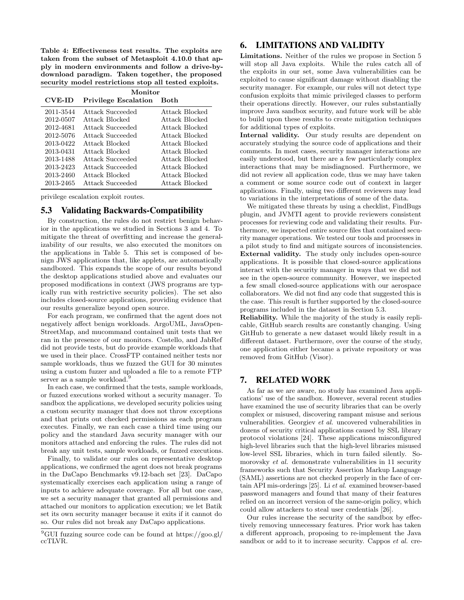Table 4: Effectiveness test results. The exploits are taken from the subset of Metasploit 4.10.0 that apply in modern environments and follow a drive-bydownload paradigm. Taken together, the proposed security model restrictions stop all tested exploits.

|               | Monitor                     |                |  |
|---------------|-----------------------------|----------------|--|
| <b>CVE-ID</b> | <b>Privilege Escalation</b> | Both           |  |
| 2011-3544     | Attack Succeeded            | Attack Blocked |  |
| 2012-0507     | Attack Blocked              | Attack Blocked |  |
| 2012-4681     | Attack Succeeded            | Attack Blocked |  |
| 2012-5076     | Attack Succeeded            | Attack Blocked |  |
| 2013-0422     | Attack Blocked              | Attack Blocked |  |
| 2013-0431     | Attack Blocked              | Attack Blocked |  |
| 2013-1488     | Attack Succeeded            | Attack Blocked |  |
| 2013-2423     | Attack Succeeded            | Attack Blocked |  |
| 2013-2460     | Attack Blocked              | Attack Blocked |  |
| 2013-2465     | Attack Succeeded            | Attack Blocked |  |

privilege escalation exploit routes.

## 5.3 Validating Backwards-Compatibility

By construction, the rules do not restrict benign behavior in the applications we studied in Sections 3 and 4. To mitigate the threat of overfitting and increase the generalizability of our results, we also executed the monitors on the applications in Table 5. This set is composed of benign JWS applications that, like applets, are automatically sandboxed. This expands the scope of our results beyond the desktop applications studied above and evaluates our proposed modifications in context (JWS programs are typically run with restrictive security policies). The set also includes closed-source applications, providing evidence that our results generalize beyond open source.

For each program, we confirmed that the agent does not negatively affect benign workloads. ArgoUML, JavaOpen-StreetMap, and mucommand contained unit tests that we ran in the presence of our monitors. Costello, and JabRef did not provide tests, but do provide example workloads that we used in their place. CrossFTP contained neither tests nor sample workloads, thus we fuzzed the GUI for 30 minutes using a custom fuzzer and uploaded a file to a remote FTP server as a sample workload.<sup>9</sup>

In each case, we confirmed that the tests, sample workloads, or fuzzed executions worked without a security manager. To sandbox the applications, we developed security policies using a custom security manager that does not throw exceptions and that prints out checked permissions as each program executes. Finally, we ran each case a third time using our policy and the standard Java security manager with our monitors attached and enforcing the rules. The rules did not break any unit tests, sample workloads, or fuzzed executions.

Finally, to validate our rules on representative desktop applications, we confirmed the agent does not break programs in the DaCapo Benchmarks v9.12-bach set [23]. DaCapo systematically exercises each application using a range of inputs to achieve adequate coverage. For all but one case, we set a security manager that granted all permissions and attached our monitors to application execution; we let Batik set its own security manager because it exits if it cannot do so. Our rules did not break any DaCapo applications.

# 6. LIMITATIONS AND VALIDITY

Limitations. Neither of the rules we propose in Section 5 will stop all Java exploits. While the rules catch all of the exploits in our set, some Java vulnerabilities can be exploited to cause significant damage without disabling the security manager. For example, our rules will not detect type confusion exploits that mimic privileged classes to perform their operations directly. However, our rules substantially improve Java sandbox security, and future work will be able to build upon these results to create mitigation techniques for additional types of exploits.

Internal validity. Our study results are dependent on accurately studying the source code of applications and their comments. In most cases, security manager interactions are easily understood, but there are a few particularly complex interactions that may be misdiagnosed. Furthermore, we did not review all application code, thus we may have taken a comment or some source code out of context in larger applications. Finally, using two different reviewers may lead to variations in the interpretations of some of the data.

We mitigated these threats by using a checklist, FindBugs plugin, and JVMTI agent to provide reviewers consistent processes for reviewing code and validating their results. Furthermore, we inspected entire source files that contained security manager operations. We tested our tools and processes in a pilot study to find and mitigate sources of inconsistencies. External validity. The study only includes open-source applications. It is possible that closed-source applications interact with the security manager in ways that we did not see in the open-source community. However, we inspected a few small closed-source applications with our aerospace collaborators. We did not find any code that suggested this is the case. This result is further supported by the closed-source programs included in the dataset in Section 5.3.

Reliability. While the majority of the study is easily replicable, GitHub search results are constantly changing. Using GitHub to generate a new dataset would likely result in a different dataset. Furthermore, over the course of the study, one application either became a private repository or was removed from GitHub (Visor).

## 7. RELATED WORK

As far as we are aware, no study has examined Java applications' use of the sandbox. However, several recent studies have examined the use of security libraries that can be overly complex or misused, discovering rampant misuse and serious vulnerabilities. Georgiev et al. uncovered vulnerabilities in dozens of security critical applications caused by SSL library protocol violations [24]. These applications misconfigured high-level libraries such that the high-level libraries misused low-level SSL libraries, which in turn failed silently. Somorovsky et al. demonstrate vulnerabilities in 11 security frameworks such that Security Assertion Markup Language (SAML) assertions are not checked properly in the face of certain API mis-orderings [25]. Li et al. examined browser-based password managers and found that many of their features relied on an incorrect version of the same-origin policy, which could allow attackers to steal user credentials [26].

Our rules increase the security of the sandbox by effectively removing unnecessary features. Prior work has taken a different approach, proposing to re-implement the Java sandbox or add to it to increase security. Cappos *et al.* cre-

<sup>&</sup>lt;sup>9</sup>GUI fuzzing source code can be found at https://goo.gl/ ccTLVR.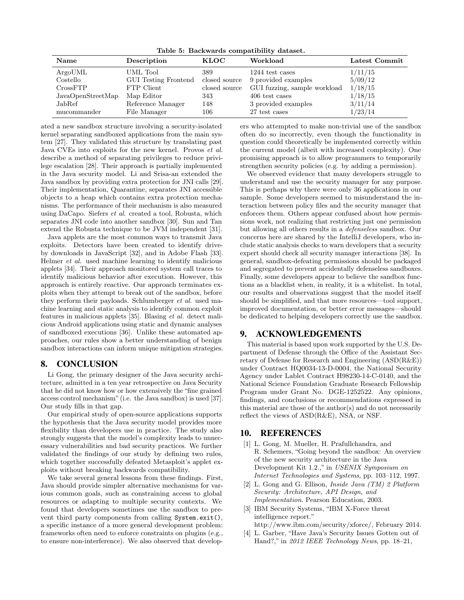Table 5: Backwards compatibility dataset.

| Name              | Description          | <b>KLOC</b>   | Workload                     | Latest Commit |
|-------------------|----------------------|---------------|------------------------------|---------------|
| ArgoUML           | UML Tool             | 389           | 1244 test cases              | 1/11/15       |
| Costello          | GUI Testing Frontend | closed source | 9 provided examples          | 5/09/12       |
| CrossFTP          | FTP Client           | closed source | GUI fuzzing, sample workload | 1/18/15       |
| JavaOpenStreetMap | Map Editor           | 343           | 406 test cases               | 1/18/15       |
| JabRef            | Reference Manager    | 148           | 3 provided examples          | 3/11/14       |
| mucommander       | File Manager         | 106           | 27 test cases                | 1/23/14       |

ated a new sandbox structure involving a security-isolated kernel separating sandboxed applications from the main system [27]. They validated this structure by translating past Java CVEs into exploits for the new kernel. Provos et al. describe a method of separating privileges to reduce privilege escalation [28]. Their approach is partially implemented in the Java security model. Li and Srisa-an extended the Java sandbox by providing extra protection for JNI calls [29]. Their implementation, Quarantine, separates JNI accessible objects to a heap which contains extra protection mechanisms. The performance of their mechanism is also measured using DaCapo. Siefers et al. created a tool, Robusta, which separates JNI code into another sandbox [30]. Sun and Tan extend the Robusta technique to be JVM independent [31].

Java applets are the most common ways to transmit Java exploits. Detectors have been created to identify driveby downloads in JavaScript [32], and in Adobe Flash [33]. Helmer et al. used machine learning to identify malicious applets [34]. Their approach monitored system call traces to identify malicious behavior after execution. However, this approach is entirely reactive. Our approach terminates exploits when they attempt to break out of the sandbox, before they perform their payloads. Schlumberger et al. used machine learning and static analysis to identify common exploit features in malicious applets [35]. Blasing et al. detect malicious Android applications using static and dynamic analyses of sandboxed executions [36]. Unlike these automated approaches, our rules show a better understanding of benign sandbox interactions can inform unique mitigation strategies.

## 8. CONCLUSION

Li Gong, the primary designer of the Java security architecture, admitted in a ten year retrospective on Java Security that he did not know how or how extensively the "fine grained access control mechanism" (i.e. the Java sandbox) is used [37]. Our study fills in that gap.

Our empirical study of open-source applications supports the hypothesis that the Java security model provides more flexibility than developers use in practice. The study also strongly suggests that the model's complexity leads to unnecessary vulnerabilities and bad security practices. We further validated the findings of our study by defining two rules, which together successfully defeated Metasploit's applet exploits without breaking backwards compatibility.

We take several general lessons from these findings. First, Java should provide simpler alternative mechanisms for various common goals, such as constraining access to global resources or adapting to multiple security contexts. We found that developers sometimes use the sandbox to prevent third party components from calling System.exit(), a specific instance of a more general development problem: frameworks often need to enforce constraints on plugins (e.g., to ensure non-interference). We also observed that developers who attempted to make non-trivial use of the sandbox often do so incorrectly, even though the functionality in question could theoretically be implemented correctly within the current model (albeit with increased complexity). One promising approach is to allow programmers to temporarily strengthen security policies (e.g. by adding a permission).

We observed evidence that many developers struggle to understand and use the security manager for any purpose. This is perhaps why there were only 36 applications in our sample. Some developers seemed to misunderstand the interaction between policy files and the security manager that enforces them. Others appear confused about how permissions work, not realizing that restricting just one permission but allowing all others results in a defenseless sandbox. Our concerns here are shared by the IntelliJ developers, who include static analysis checks to warn developers that a security expert should check all security manager interactions [38]. In general, sandbox-defeating permissions should be packaged and segregated to prevent accidentally defenseless sandboxes. Finally, some developers appear to believe the sandbox functions as a blacklist when, in reality, it is a whitelist. In total, our results and observations suggest that the model itself should be simplified, and that more resources—tool support, improved documentation, or better error messages—should be dedicated to helping developers correctly use the sandbox.

# 9. ACKNOWLEDGEMENTS

This material is based upon work supported by the U.S. Department of Defense through the Office of the Assistant Secretary of Defense for Research and Engineering (ASD(R&E)) under Contract HQ0034-13-D-0004, the National Security Agency under Lablet Contract H98230-14-C-0140, and the National Science Foundation Graduate Research Fellowship Program under Grant No. DGE-1252522. Any opinions, findings, and conclusions or recommendations expressed in this material are those of the author(s) and do not necessarily reflect the views of ASD(R&E), NSA, or NSF.

# 10. REFERENCES

- [1] L. Gong, M. Mueller, H. Prafullchandra, and R. Schemers, "Going beyond the sandbox: An overview of the new security architecture in the Java Development Kit 1.2.," in USENIX Symposium on Internet Technologies and Systems, pp. 103–112, 1997.
- [2] L. Gong and G. Ellison, Inside Java (TM) 2 Platform Security: Architecture, API Design, and Implementation. Pearson Education, 2003.
- [3] IBM Security Systems, "IBM X-Force threat intelligence report."

http://www.ibm.com/security/xforce/, February 2014.

[4] L. Garber, "Have Java's Security Issues Gotten out of Hand?," in 2012 IEEE Technology News, pp. 18–21,